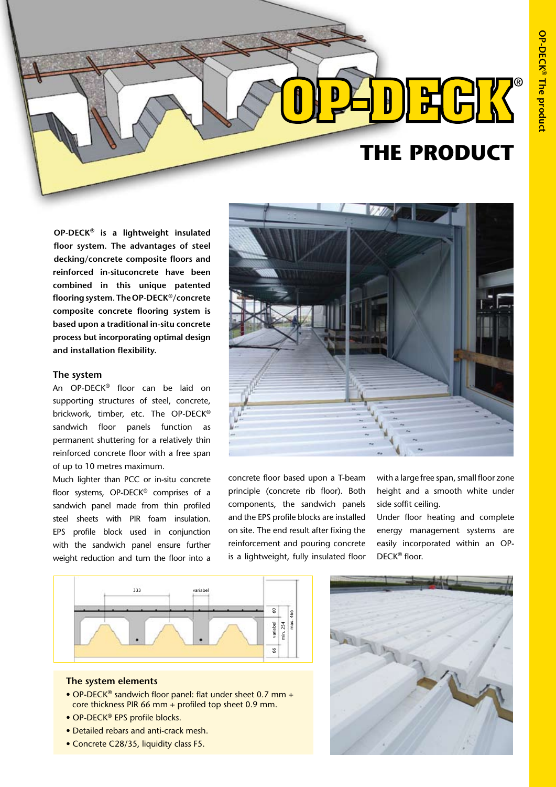

**OP-DECK® is a lightweight insulated floor system. The advantages of steel decking/concrete composite floors and reinforced in-situconcrete have been combined in this unique patented flooring system. The OP-DECK®/concrete composite concrete flooring system is based upon a traditional in-situ concrete process but incorporating optimal design and installation flexibility.** 

#### **The system**

An OP-DECK® floor can be laid on supporting structures of steel, concrete, brickwork, timber, etc. The OP-DECK® sandwich floor panels function as permanent shuttering for a relatively thin reinforced concrete floor with a free span of up to 10 metres maximum.

Much lighter than PCC or in-situ concrete floor systems, OP-DECK® comprises of a sandwich panel made from thin profiled steel sheets with PIR foam insulation. EPS profile block used in conjunction with the sandwich panel ensure further weight reduction and turn the floor into a



concrete floor based upon a T-beam principle (concrete rib floor). Both components, the sandwich panels and the EPS profile blocks are installed on site. The end result after fixing the reinforcement and pouring concrete is a lightweight, fully insulated floor

with a large free span, small floor zone height and a smooth white under side soffit ceiling.

Under floor heating and complete energy management systems are easily incorporated within an OP-DECK® floor.



### **The system elements**

- OP-DECK® sandwich floor panel: flat under sheet 0.7 mm + core thickness PIR 66 mm + profiled top sheet 0.9 mm.
- OP-DECK<sup>®</sup> EPS profile blocks.
- Detailed rebars and anti-crack mesh.
- Concrete C28/35, liquidity class F5.